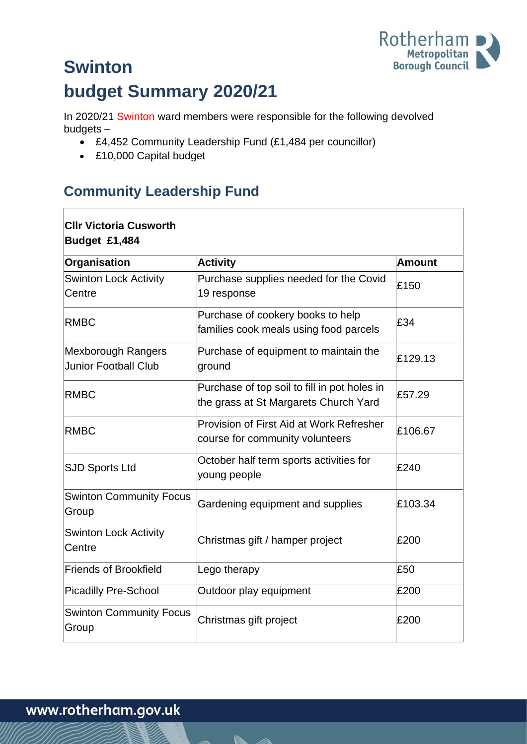

# **Swinton budget Summary 2020/21**

In 2020/21 Swinton ward members were responsible for the following devolved budgets –

- £4,452 Community Leadership Fund (£1,484 per councillor)
- £10,000 Capital budget

### **Community Leadership Fund**

| <b>CIIr Victoria Cusworth</b><br>Budget £1,484    |                                                                                       |               |  |
|---------------------------------------------------|---------------------------------------------------------------------------------------|---------------|--|
| Organisation                                      | <b>Activity</b>                                                                       | <b>Amount</b> |  |
| <b>Swinton Lock Activity</b><br>Centre            | Purchase supplies needed for the Covid<br>19 response                                 | £150          |  |
| <b>RMBC</b>                                       | Purchase of cookery books to help<br>families cook meals using food parcels           | £34           |  |
| Mexborough Rangers<br><b>Junior Football Club</b> | Purchase of equipment to maintain the<br>ground                                       | £129.13       |  |
| <b>RMBC</b>                                       | Purchase of top soil to fill in pot holes in<br>the grass at St Margarets Church Yard | £57.29        |  |
| <b>RMBC</b>                                       | Provision of First Aid at Work Refresher<br>course for community volunteers           | £106.67       |  |
| <b>SJD Sports Ltd</b>                             | October half term sports activities for<br>young people                               | £240          |  |
| <b>Swinton Community Focus</b><br>Group           | Gardening equipment and supplies                                                      | £103.34       |  |
| <b>Swinton Lock Activity</b><br>Centre            | Christmas gift / hamper project                                                       | £200          |  |
| Friends of Brookfield                             | Lego therapy                                                                          | £50           |  |
| <b>Picadilly Pre-School</b>                       | Outdoor play equipment                                                                | £200          |  |
| <b>Swinton Community Focus</b><br>Group           | Christmas gift project                                                                | £200          |  |

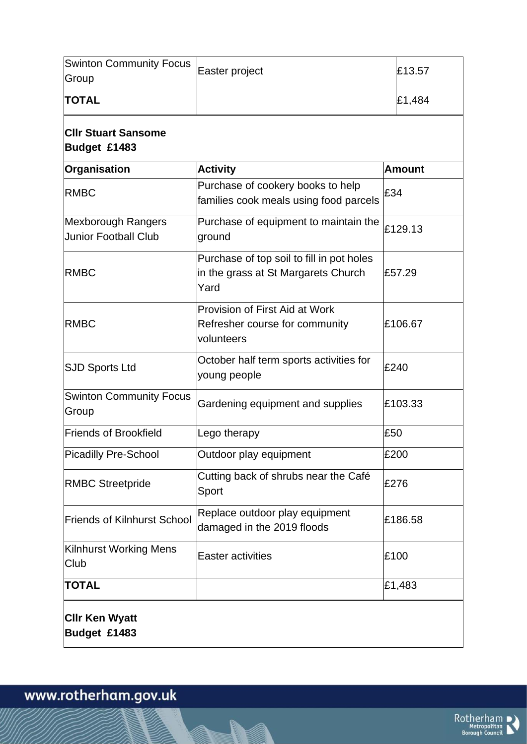| <b>Swinton Community Focus</b><br>Group           | Easter project                                                                           | £13.57        |  |
|---------------------------------------------------|------------------------------------------------------------------------------------------|---------------|--|
| <b>TOTAL</b>                                      |                                                                                          | £1,484        |  |
| <b>CIIr Stuart Sansome</b><br>Budget £1483        |                                                                                          |               |  |
| Organisation                                      | <b>Activity</b>                                                                          | <b>Amount</b> |  |
| <b>RMBC</b>                                       | Purchase of cookery books to help<br>families cook meals using food parcels              | £34           |  |
| Mexborough Rangers<br><b>Junior Football Club</b> | Purchase of equipment to maintain the<br>ground                                          | £129.13       |  |
| <b>RMBC</b>                                       | Purchase of top soil to fill in pot holes<br>in the grass at St Margarets Church<br>Yard | £57.29        |  |
| <b>RMBC</b>                                       | <b>Provision of First Aid at Work</b><br>Refresher course for community<br>volunteers    | £106.67       |  |
| <b>SJD Sports Ltd</b>                             | October half term sports activities for<br>young people                                  | £240          |  |
| <b>Swinton Community Focus</b><br>Group           | Gardening equipment and supplies                                                         | £103.33       |  |
| Friends of Brookfield                             | Lego therapy                                                                             | £50           |  |
| Picadilly Pre-School                              | Outdoor play equipment                                                                   | £200          |  |
| <b>RMBC Streetpride</b>                           | Cutting back of shrubs near the Café<br>Sport                                            | £276          |  |
| <b>Friends of Kilnhurst School</b>                | Replace outdoor play equipment<br>damaged in the 2019 floods                             | £186.58       |  |
| Kilnhurst Working Mens<br>Club                    | <b>Easter activities</b>                                                                 | £100          |  |
| <b>TOTAL</b>                                      |                                                                                          | £1,483        |  |
| <b>CIIr Ken Wyatt</b><br>Budget £1483             |                                                                                          |               |  |

M

www.rotherham.gov.uk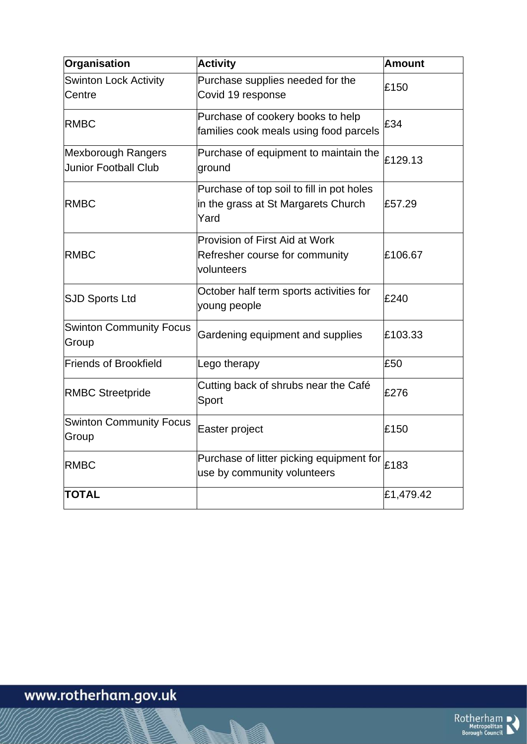| Organisation                                      | <b>Activity</b>                                                                          | <b>Amount</b> |
|---------------------------------------------------|------------------------------------------------------------------------------------------|---------------|
| <b>Swinton Lock Activity</b><br><b>Centre</b>     | Purchase supplies needed for the<br>Covid 19 response                                    | £150          |
| <b>RMBC</b>                                       | Purchase of cookery books to help<br>families cook meals using food parcels              | £34           |
| Mexborough Rangers<br><b>Junior Football Club</b> | Purchase of equipment to maintain the<br>ground                                          | £129.13       |
| <b>RMBC</b>                                       | Purchase of top soil to fill in pot holes<br>in the grass at St Margarets Church<br>Yard | £57.29        |
| <b>RMBC</b>                                       | <b>Provision of First Aid at Work</b><br>Refresher course for community<br>volunteers    | £106.67       |
| <b>SJD Sports Ltd</b>                             | October half term sports activities for<br>young people                                  | £240          |
| <b>Swinton Community Focus</b><br>Group           | Gardening equipment and supplies                                                         | £103.33       |
| <b>Friends of Brookfield</b>                      | Lego therapy                                                                             | £50           |
| <b>RMBC Streetpride</b>                           | Cutting back of shrubs near the Café<br>Sport                                            | £276          |
| <b>Swinton Community Focus</b><br>Group           | Easter project                                                                           | £150          |
| <b>RMBC</b>                                       | Purchase of litter picking equipment for<br>use by community volunteers                  | £183          |
| <b>TOTAL</b>                                      |                                                                                          | £1,479.42     |

M

www.rotherham.gov.uk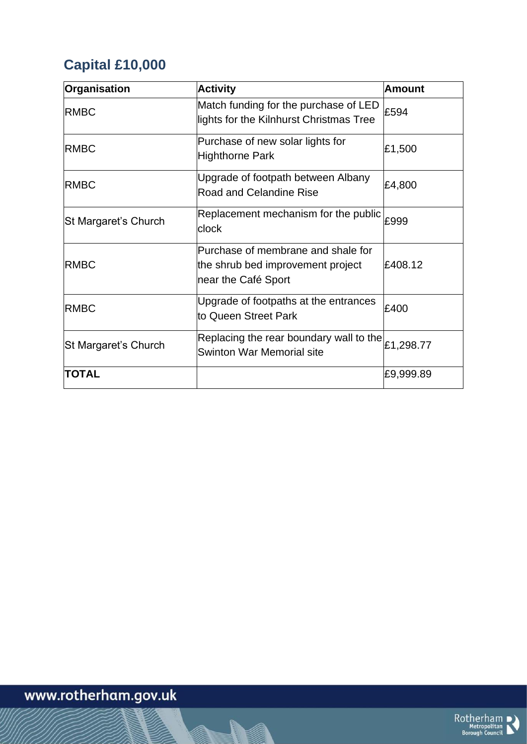## **Capital £10,000**

| Organisation         | <b>Activity</b>                                                                                | <b>Amount</b> |
|----------------------|------------------------------------------------------------------------------------------------|---------------|
| <b>RMBC</b>          | Match funding for the purchase of LED<br>lights for the Kilnhurst Christmas Tree               | £594          |
| <b>RMBC</b>          | Purchase of new solar lights for<br>Highthorne Park                                            | £1,500        |
| <b>RMBC</b>          | Upgrade of footpath between Albany<br>Road and Celandine Rise                                  | £4,800        |
| St Margaret's Church | Replacement mechanism for the public<br>clock                                                  | £999          |
| <b>RMBC</b>          | Purchase of membrane and shale for<br>the shrub bed improvement project<br>near the Café Sport | £408.12       |
| <b>RMBC</b>          | Upgrade of footpaths at the entrances<br>to Queen Street Park                                  | £400          |
| St Margaret's Church | Replacing the rear boundary wall to the<br>Swinton War Memorial site                           | £1,298.77     |
| <b>TOTAL</b>         |                                                                                                | £9,999.89     |

**N** 

# www.rotherham.gov.uk

 $\underset{\text{Borough Council}}{\text{Rotherham}}$